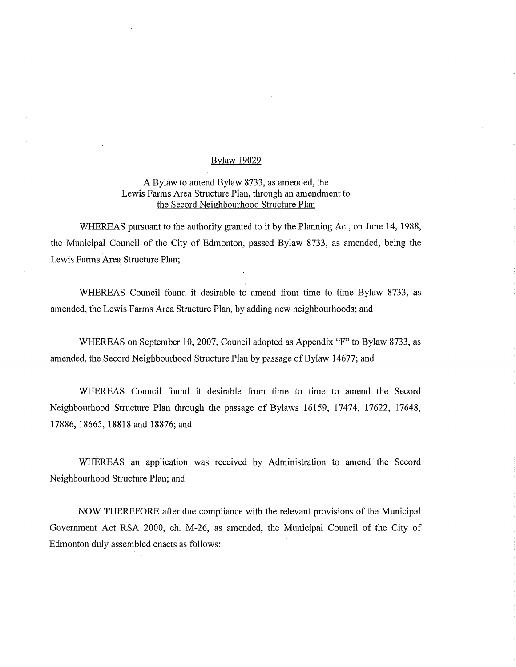## Bylaw 19029

## A Bylaw to amend Bylaw 8733, as amended, the Lewis Farms Area Structure Plan, through an amendment to the Secord Neighbourhood Structure Plan

WHEREAS pursuant to the authority granted to it by the Planning Act, on June 14, 1988, the Municipal Council of the City of Edmonton, passed Bylaw 8733, as amended, being the Lewis Farms Area Structure Plan;

WHEREAS Council found it desirable to amend from time to time Bylaw 8733, as amended, the Lewis Farms Area Structure Plan, by adding new neighbourhoods; and

WHEREAS on September 10, 2007, Council adopted as Appendix "F" to Bylaw 8733, as amended, the Secord Neighbourhood Structure Plan by passage of Bylaw 14677; and

WHEREAS Council found it desirable from time to time to amend the Secord Neighbourhood Structure Plan through the passage of Bylaws 16159, 17474, 17622, 17648, 17886, 18665, 18818 and 18876; and

WHEREAS an application was received by Administration to amend the Secord Neighbourhood Structure Plan; and

NOW THEREFORE after due compliance with the relevant provisions of the Municipal Government Act RSA 2000, ch. M-26, as amended, the Municipal Council of the City of Edmonton duly assembled enacts as follows: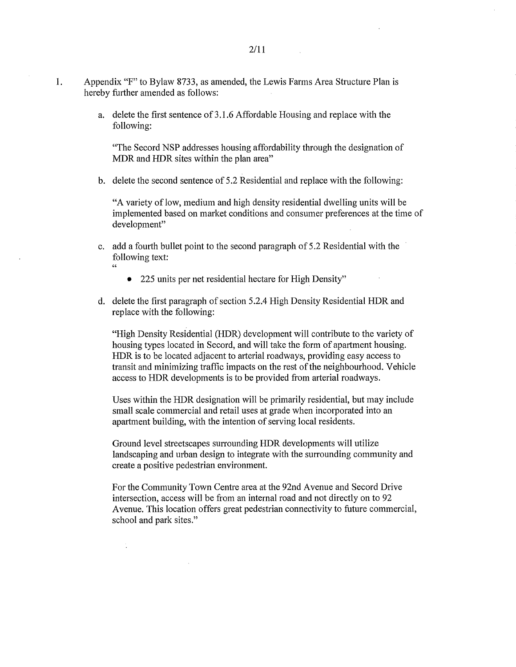a. delete the first sentence of 3.1.6 Affordable Housing and replace with the following:

"The Secord NSP addresses housing affordability through the designation of MDR and HDR sites within the plan area"

b. delete the second sentence of 5.2 Residential and replace with the following:

"A variety of low, medium and high density residential dwelling units will be implemented based on market conditions and consumer preferences at the time of development"

- c. add a fourth bullet point to the second paragraph of 5.2 Residential with the following text:
	- 225 units per net residential hectare for High Density"
- d. delete the first paragraph of section 5.2.4 High Density Residential HDR and replace with the following:

"High Density Residential (HDR) development will contribute to the variety of housing types located in Secord, and will take the form of apartment housing. HDR is to be located adjacent to arterial roadways, providing easy access to transit and minimizing traffic impacts on the rest of the neighbourhood. Vehicle access to HDR developments is to be provided from arterial roadways.

Uses within the HDR designation will be primarily residential, but may include small scale commercial and retail uses at grade when incorporated into an apartment building, with the intention of serving local residents.

Ground level streetscapes surrounding HDR developments will utilize landscaping and urban design to integrate with the surrounding community and create a positive pedestrian environment.

For the Community Town Centre area at the 92nd Avenue and Secord Drive intersection, access will be from an internal road and not directly on to 92 Avenue. This location offers great pedestrian connectivity to future commercial, school and park sites."

 $\ddot{\phantom{a}}$ 

2/11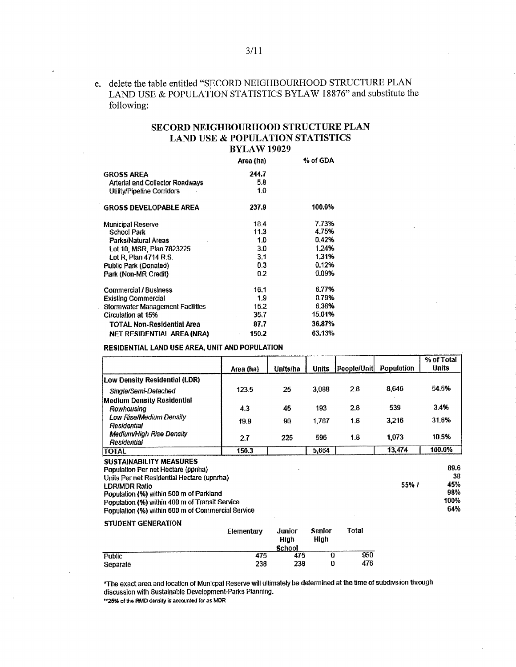## e. delete the table entitled "SECORD NEIGHBOURHOOD STRUCTURE PLAN LAND USE & POPULATION STATISTICS BYLAW 18876" and substitute the following:

## SECORD NEIGHBOURHOOD STRUCTURE PLAN LAND USE & POPULATION STATISTICS BYLAW 19029

|                                  | Area (ha) | % of GDA |
|----------------------------------|-----------|----------|
| <b>GROSS AREA</b>                | 244,7     |          |
| Arterial and Collector Roadways  | 5.8       |          |
| Utility/Pioeline Corridors       | 1.0       |          |
| <b>GROSS DEVELOPABLE AREA</b>    | 237.9     | 100.0%   |
| <b>Municipal Reserve</b>         | 18.4      | 7.73%    |
| School Park                      | 11.3      | 4.75%    |
| Parks/Natural Areas              | 1.0       | 0.42%    |
| Lot 10, MSR, Plan 7823225        | 3.0       | 1.24%    |
| Lot R, Plan 4714 R.S.            | 3.1       | 1.31%    |
| Public Park (Donated)            | 0.3       | 0.12%    |
| Park (Non-MR Credit)             | 0.2       | 0.09%    |
| Commercial / Business            | 16.1      | 6.77%    |
| Existing Commercial              | 1.9       | 0.79%    |
| Stormwater Management Facilities | 15.2      | 6.38%    |
| Circulation at 15%               | 35.7      | 15.01%   |
| TOTAL Non-Residential Area       | 87.7      | 36.87%   |
| NET RESIDENTIAL AREA (NRA)       | 150.2     | 63.13%   |

RESIDENTIAL LAND USE AREA, UNIT AND POPULATION

|                                                                                                                                             | Area (ha) | Units/ha | <b>Units</b> | People/Unit | Population | % of Total<br><b>Units</b> |
|---------------------------------------------------------------------------------------------------------------------------------------------|-----------|----------|--------------|-------------|------------|----------------------------|
| Low Density Residential (LDR)                                                                                                               |           |          |              |             |            |                            |
| Single/Semi-Detached                                                                                                                        | 123.5     | 25       | 3.088        | 2.8         | 8.646      | 54.5%                      |
| <b>Medium Density Residential</b><br>Rowhousing                                                                                             | 4.3       | 45       | 193          | 2.8         | 539        | 3.4%                       |
| <b>Low Rise/Medium Density</b><br>Residential                                                                                               | 19.9      | 90       | 1.787        | 1.8         | 3.216      | 31.6%                      |
| Medium/High Rise Density<br>Residential                                                                                                     | 2.7       | 225      | 596          | 1.8         | 1.073      | 10.5%                      |
| <b>TOTAL</b>                                                                                                                                | 150.3     |          | 5,664        |             | 13,474     | 100.0%                     |
| <b>SUSTAINABILITY MEASURES</b><br>Population Per net Hectare (ponha)<br>Units Per net Residential Hectare (upnrha)<br><b>I DR/MDR Ratio</b> |           |          |              |             | 55%/       | 89.6<br>38<br>45%          |

LDR/MDR Ratio 55% / 45% / 45% / 45% / 45% / 45% / 45% / 45% / 45% / 45% / 45% / 45% / 45% / 45% / 45% / 45% / <br>Population (%) within 500 m of Parkland Population (%) within 500 m of Parkland 98% and the state of the state of the state of the state of the 98% and 98% and 98% and 98% and 98% and 98% and 98% and 98% and 98% and 98% and 98% and 98% and 98% and 98% and 98% an Population (%) within 400 m of Transit Service 100% Population (%) and the state 100% Population (%) 100% Population (%) 100% Population (%) 100% Population (%) 100% Population (%) 100% Population (%) 100% Population (%) 1 Population (%) within 600 m of Commercial Service

|  | STUDENT GENERATION |
|--|--------------------|
|--|--------------------|

|          | Elementary | Junior<br>High<br>School | Senior<br>High | Total |
|----------|------------|--------------------------|----------------|-------|
| Public   | 475        | 475                      |                | 950   |
| Separate | 238        | 238                      | 0              | 476   |

The exact area and location of Municpal Reserve will ultimately be determined at the time of subdivslion through discussion with Sustainable Development-Parks Planning,

"25% of the FWD density Is **aocoMed** for **as** MDR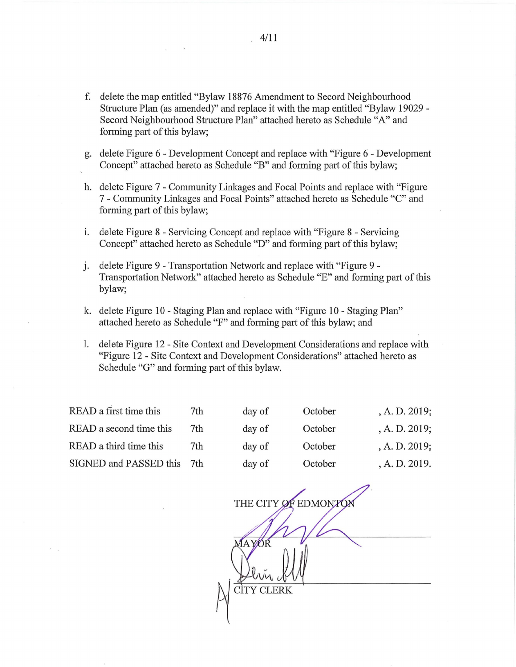- f. delete the map entitled "Bylaw 18876 Amendment to Secord Neighbourhood Structure Plan (as amended)" and replace it with the map entitled "Bylaw 19029 - Secord Neighbourhood Structure Plan" attached hereto as Schedule "A" and forming part of this bylaw;
- g. delete Figure 6 Development Concept and replace with "Figure 6 Development Concept" attached hereto as Schedule "B" and forming part of this bylaw;
- h. delete Figure 7 Community Linkages and Focal Points and replace with "Figure 7 - Community Linkages and Focal Points" attached hereto as Schedule "C" and forming part of this bylaw;
- i. delete Figure 8 Servicing Concept and replace with "Figure 8 Servicing Concept" attached hereto as Schedule "D" and forming part of this bylaw;
- delete Figure 9 Transportation Network and replace with "Figure 9 i. Transportation Network" attached hereto as Schedule "E" and forming part of this bylaw;
- k. delete Figure 10 Staging Plan and replace with "Figure 10 Staging Plan" attached hereto as Schedule "F" and forming part of this bylaw; and
- 1. delete Figure 12 Site Context and Development Considerations and replace with "Figure 12 - Site Context and Development Considerations" attached hereto as Schedule "G" and forming part of this bylaw.

| 7th | day of | October | , A. D. 2019; |
|-----|--------|---------|---------------|
| 7th | day of | October | A. D. 2019;   |
| 7th | day of | October | A. D. 2019;   |
| 7th | day of | October | , A. D. 2019. |
|     |        |         |               |

THE CITY OF EDMONTON AYOR CITY CLERK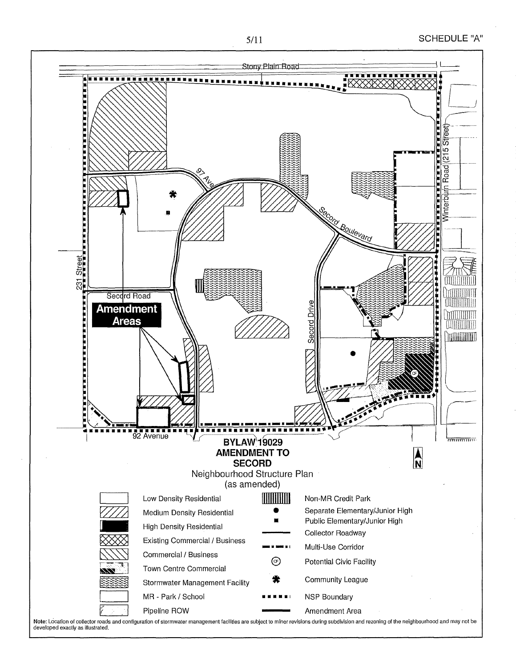



Note: Location of collector roads and configuration of stormwater management facilities are subject to minor revisions during subdivision and rezoning of the neighbourhood and may not be developed exactly as Illustrated.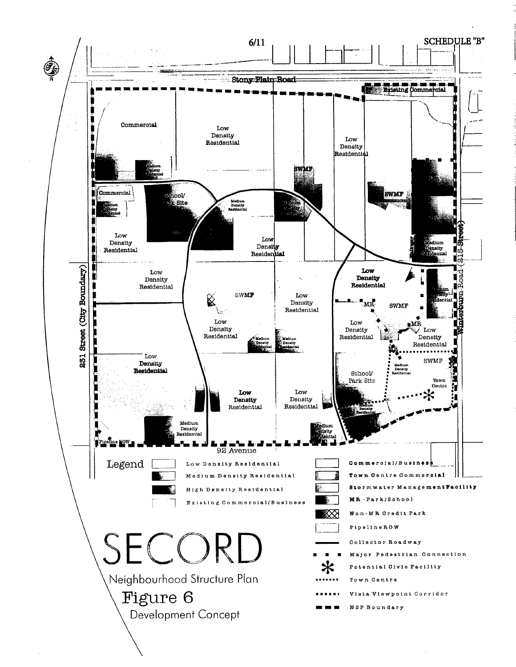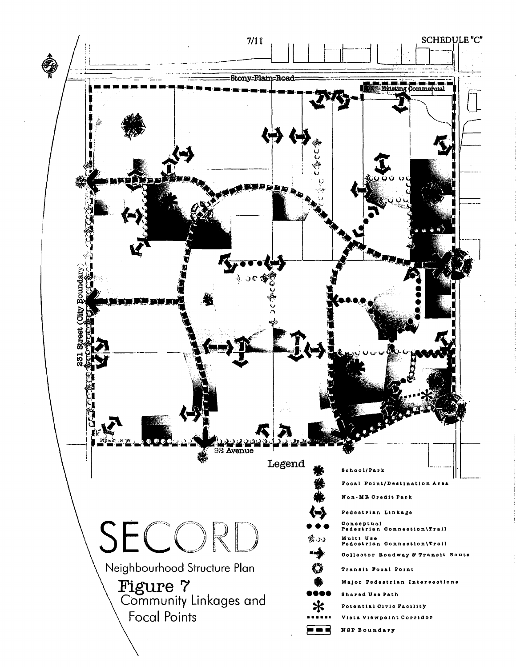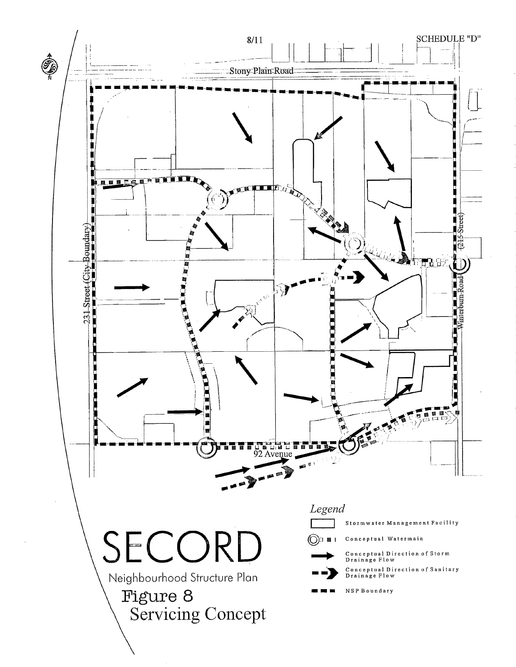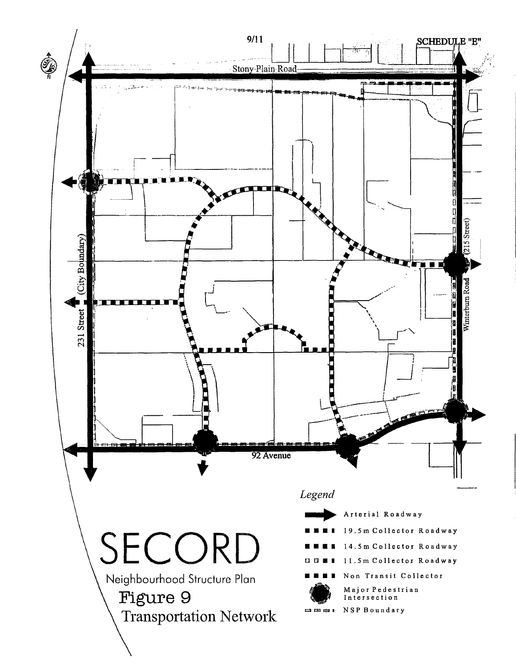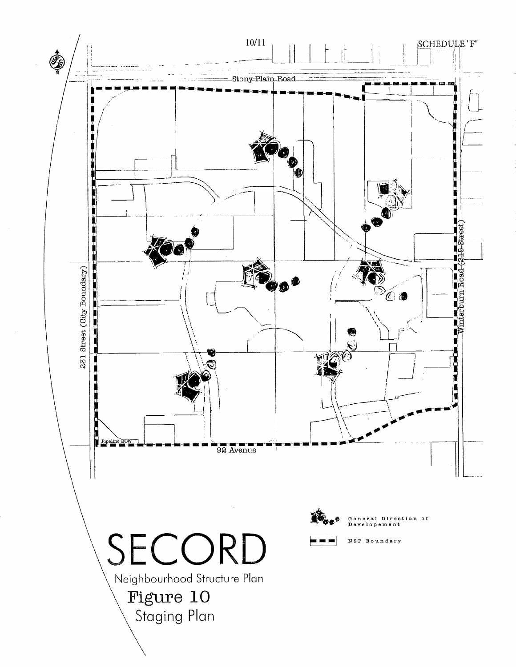